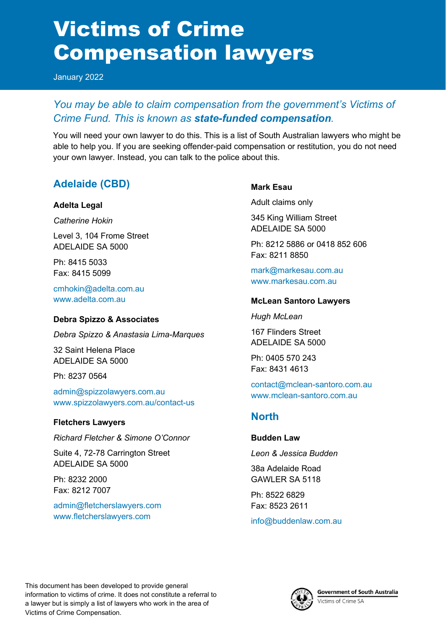# Victims of Crime Compensation lawyers

January 2022

## *You may be able to claim compensation from the government's Victims of Crime Fund. This is known as state-funded compensation.*

You will need your own lawyer to do this. This is a list of South Australian lawyers who might be able to help you. If you are seeking offender-paid compensation or restitution, you do not need your own lawyer. Instead, you can talk to the police about this.

# **Adelaide (CBD)**

#### **Adelta Legal**

*Catherine Hokin*

Level 3, 104 Frome Street ADELAIDE SA 5000

Ph: 8415 5033 Fax: 8415 5099

[cmhokin@adelta.com.au](mailto:cmhokin@adelta.com.au) [www.adelta.com.au](http://www.adelta.com.au/)

#### **Debra Spizzo & Associates**

*Debra Spizzo & Anastasia Lima-Marques*

32 Saint Helena Place ADELAIDE SA 5000

Ph: 8237 0564

[admin@spizzolawyers.com.au](mailto:admin@spizzolawyers.com.au) [www.spizzolawyers.com.au/contact-us](http://www.spizzolawyers.com.au/contact-us)

#### **Fletchers Lawyers**

*Richard Fletcher & Simone O'Connor* 

Suite 4, 72-78 Carrington Street ADELAIDE SA 5000

Ph: 8232 2000 Fax: 8212 7007

[admin@fletcherslawyers.com](mailto:admin@fletcherslawyers.com) [www.fletcherslawyers.com](http://www.fletcherslawyers.com/)

#### **Mark Esau**

Adult claims only

345 King William Street ADELAIDE SA 5000

Ph: 8212 5886 or 0418 852 606 Fax: 8211 8850

[mark@markesau.com.au](mailto:mark@markesau.com.au) [www.markesau.com.au](http://www.markesau.com.au/)

#### **McLean Santoro Lawyers**

*Hugh McLean*

167 Flinders Street ADELAIDE SA 5000

Ph: 0405 570 243 Fax: 8431 4613

[contact@mclean-santoro.com.au](mailto:contact@mclean-santoro.com.au) [www.mclean-santoro.com.au](http://www.mclean-santoro.com.au/)

## **North**

#### **Budden Law**

*Leon & Jessica Budden* 

38a Adelaide Road GAWLER SA 5118

Ph: 8522 6829 Fax: 8523 2611

[info@buddenlaw.com.au](mailto:info@buddenlaw.com.au)



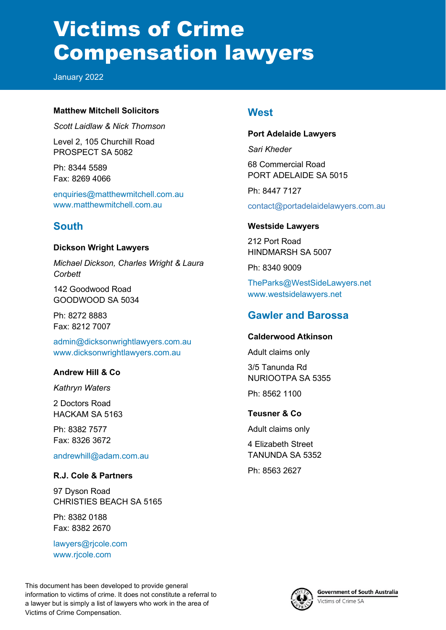# Victims of Crime Compensation lawyers

January 2022

#### **Matthew Mitchell Solicitors**

*Scott Laidlaw & Nick Thomson*

Level 2, 105 Churchill Road PROSPECT SA 5082

Ph: 8344 5589 Fax: 8269 4066

[enquiries@matthewmitchell.com.au](mailto:enquiries@matthewmitchell.com.au) [www.matthewmitchell.com.au](http://www.matthewmitchell.com.au/)

## **South**

#### **Dickson Wright Lawyers**

*Michael Dickson, Charles Wright & Laura Corbett*

142 Goodwood Road GOODWOOD SA 5034

Ph: 8272 8883 Fax: 8212 7007

[admin@dicksonwrightlawyers.com.au](mailto:admin@dicksonwrightlawyers.com.au) [www.dicksonwrightlawyers.com.au](http://www.dicksonwrightlawyers.com.au/)

#### **Andrew Hill & Co**

#### *Kathryn Waters*

2 Doctors Road HACKAM SA 5163

Ph: 8382 7577 Fax: 8326 3672

#### [andrewhill@adam.com.au](mailto:andrewhill@adam.com.au)

#### **R.J. Cole & Partners**

97 Dyson Road CHRISTIES BEACH SA 5165

Ph: 8382 0188 Fax: 8382 2670

[lawyers@rjcole.com](mailto:lawyers@rjcole.com) [www.rjcole.com](http://www.rjcole.com/)

### **West**

#### **Port Adelaide Lawyers**

*Sari Kheder*

68 Commercial Road PORT ADELAIDE SA 5015

Ph: 8447 7127

contact@portadelaidelawyers.com.au

#### **Westside Lawyers**

212 Port Road HINDMARSH SA 5007

Ph: 8340 9009

[TheParks@WestSideLawyers.net](mailto:TheParks@WestSideLawyers.net) [www.westsidelawyers.net](http://www.westsidelawyers.net/)

### **Gawler and Barossa**

#### **Calderwood Atkinson**

Adult claims only

3/5 Tanunda Rd NURIOOTPA SA 5355

Ph: 8562 1100

#### **Teusner & Co**

Adult claims only

4 Elizabeth Street TANUNDA SA 5352 Ph: 8563 2627



**Government of South Australia** Victims of Crime SA

This document has been developed to provide general information to victims of crime. It does not constitute a referral to a lawyer but is simply a list of lawyers who work in the area of Victims of Crime Compensation.